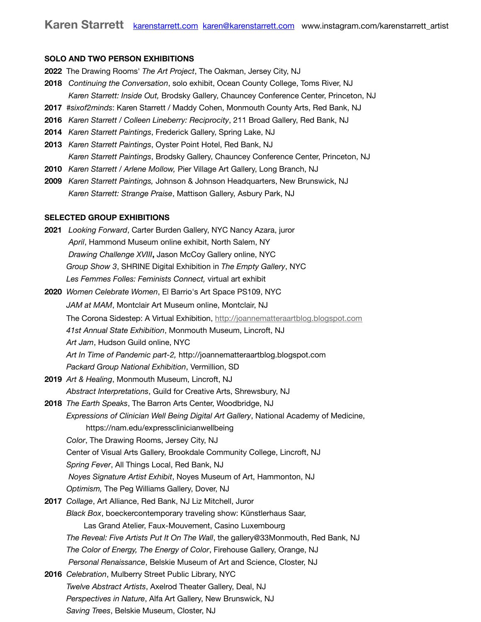## **SOLO AND TWO PERSON EXHIBITIONS**

- **2022** The Drawing Rooms' *The Art Project*, The Oakman, Jersey City, NJ
- **2018** *Continuing the Conversation*, solo exhibit, Ocean County College, Toms River, NJ *Karen Starrett: Inside Out,* Brodsky Gallery, Chauncey Conference Center, Princeton, NJ
- **2017** *#sixof2minds*: Karen Starrett / Maddy Cohen, Monmouth County Arts, Red Bank, NJ
- **2016** *Karen Starrett / Colleen Lineberry: Reciprocity*, 211 Broad Gallery, Red Bank, NJ
- **2014** *Karen Starrett Paintings*, Frederick Gallery, Spring Lake, NJ
- **2013** *Karen Starrett Paintings*, Oyster Point Hotel, Red Bank, NJ *Karen Starrett Paintings*, Brodsky Gallery, Chauncey Conference Center, Princeton, NJ
- **2010** *Karen Starrett / Arlene Mollow,* Pier Village Art Gallery, Long Branch, NJ
- **2009** *Karen Starrett Paintings,* Johnson & Johnson Headquarters, New Brunswick, NJ *Karen Starrett: Strange Praise*, Mattison Gallery, Asbury Park, NJ

## **SELECTED GROUP EXHIBITIONS**

| 2021 Looking Forward, Carter Burden Gallery, NYC Nancy Azara, juror                    |
|----------------------------------------------------------------------------------------|
| April, Hammond Museum online exhibit, North Salem, NY                                  |
| Drawing Challenge XVIII, Jason McCoy Gallery online, NYC                               |
| Group Show 3, SHRINE Digital Exhibition in The Empty Gallery, NYC                      |
| Les Femmes Folles: Feminists Connect, virtual art exhibit                              |
| 2020 Women Celebrate Women, El Barrio's Art Space PS109, NYC                           |
| JAM at MAM, Montclair Art Museum online, Montclair, NJ                                 |
| The Corona Sidestep: A Virtual Exhibition, http://joannematteraartblog.blogspot.com    |
| 41st Annual State Exhibition, Monmouth Museum, Lincroft, NJ                            |
| Art Jam, Hudson Guild online, NYC                                                      |
| Art In Time of Pandemic part-2, http://joannematteraartblog.blogspot.com               |
| Packard Group National Exhibition, Vermillion, SD                                      |
| 2019 Art & Healing, Monmouth Museum, Lincroft, NJ                                      |
| Abstract Interpretations, Guild for Creative Arts, Shrewsbury, NJ                      |
| 2018 The Earth Speaks, The Barron Arts Center, Woodbridge, NJ                          |
| Expressions of Clinician Well Being Digital Art Gallery, National Academy of Medicine, |
| https://nam.edu/expressclinicianwellbeing                                              |
| Color, The Drawing Rooms, Jersey City, NJ                                              |
| Center of Visual Arts Gallery, Brookdale Community College, Lincroft, NJ               |
| Spring Fever, All Things Local, Red Bank, NJ                                           |
| Noyes Signature Artist Exhibit, Noyes Museum of Art, Hammonton, NJ                     |
| Optimism, The Peg Williams Gallery, Dover, NJ                                          |
| 2017 Collage, Art Alliance, Red Bank, NJ Liz Mitchell, Juror                           |
| Black Box, boeckercontemporary traveling show: Künstlerhaus Saar,                      |
| Las Grand Atelier, Faux-Mouvement, Casino Luxembourg                                   |
| The Reveal: Five Artists Put It On The Wall, the gallery@33Monmouth, Red Bank, NJ      |
| The Color of Energy, The Energy of Color, Firehouse Gallery, Orange, NJ                |
| Personal Renaissance, Belskie Museum of Art and Science, Closter, NJ                   |
| 2016 Celebration, Mulberry Street Public Library, NYC                                  |
| Twelve Abstract Artists, Axelrod Theater Gallery, Deal, NJ                             |
| Perspectives in Nature, Alfa Art Gallery, New Brunswick, NJ                            |
| Saving Trees, Belskie Museum, Closter, NJ                                              |